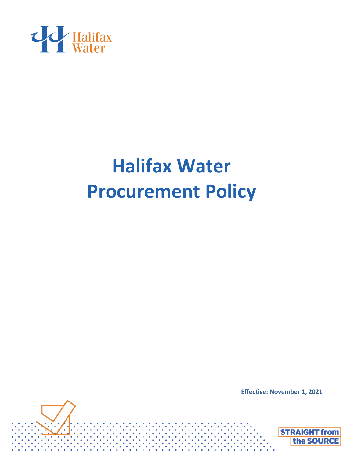



**Effective: November 1, 2021**

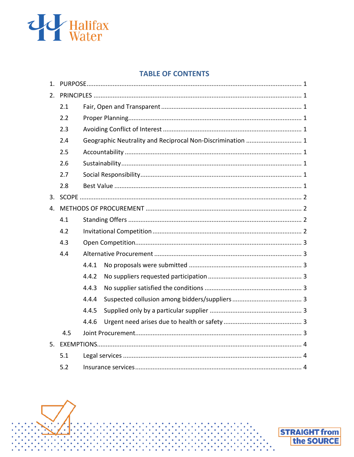

### **TABLE OF CONTENTS**

<span id="page-1-0"></span>

| 1. |     |                                                            |  |  |  |  |
|----|-----|------------------------------------------------------------|--|--|--|--|
| 2. |     |                                                            |  |  |  |  |
|    | 2.1 |                                                            |  |  |  |  |
|    | 2.2 |                                                            |  |  |  |  |
|    | 2.3 |                                                            |  |  |  |  |
|    | 2.4 | Geographic Neutrality and Reciprocal Non-Discrimination  1 |  |  |  |  |
|    | 2.5 |                                                            |  |  |  |  |
|    | 2.6 |                                                            |  |  |  |  |
|    | 2.7 |                                                            |  |  |  |  |
|    | 2.8 |                                                            |  |  |  |  |
| 3. |     |                                                            |  |  |  |  |
| 4. |     |                                                            |  |  |  |  |
|    | 4.1 |                                                            |  |  |  |  |
|    | 4.2 |                                                            |  |  |  |  |
|    | 4.3 |                                                            |  |  |  |  |
|    | 4.4 |                                                            |  |  |  |  |
|    |     | 4.4.1                                                      |  |  |  |  |
|    |     | 4.4.2                                                      |  |  |  |  |
|    |     | 4.4.3                                                      |  |  |  |  |
|    |     | 4.4.4                                                      |  |  |  |  |
|    |     | 4.4.5                                                      |  |  |  |  |
|    |     | 4.4.6                                                      |  |  |  |  |
|    | 4.5 |                                                            |  |  |  |  |
| 5. |     |                                                            |  |  |  |  |
|    | 5.1 |                                                            |  |  |  |  |
|    | 5.2 |                                                            |  |  |  |  |

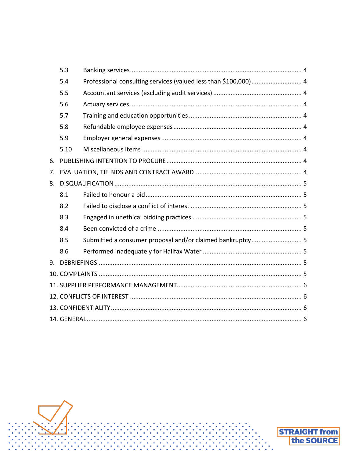|    | 5.3  |                                                                 |  |  |  |  |
|----|------|-----------------------------------------------------------------|--|--|--|--|
|    | 5.4  | Professional consulting services (valued less than \$100,000) 4 |  |  |  |  |
|    | 5.5  |                                                                 |  |  |  |  |
|    | 5.6  |                                                                 |  |  |  |  |
|    | 5.7  |                                                                 |  |  |  |  |
|    | 5.8  |                                                                 |  |  |  |  |
|    | 5.9  |                                                                 |  |  |  |  |
|    | 5.10 |                                                                 |  |  |  |  |
| 6. |      |                                                                 |  |  |  |  |
| 7. |      |                                                                 |  |  |  |  |
| 8. |      |                                                                 |  |  |  |  |
|    | 8.1  |                                                                 |  |  |  |  |
|    | 8.2  |                                                                 |  |  |  |  |
|    | 8.3  |                                                                 |  |  |  |  |
|    | 8.4  |                                                                 |  |  |  |  |
|    | 8.5  | Submitted a consumer proposal and/or claimed bankruptcy 5       |  |  |  |  |
|    | 8.6  |                                                                 |  |  |  |  |
| 9. |      |                                                                 |  |  |  |  |
|    |      |                                                                 |  |  |  |  |
|    |      |                                                                 |  |  |  |  |
|    |      |                                                                 |  |  |  |  |
|    |      |                                                                 |  |  |  |  |
|    |      |                                                                 |  |  |  |  |

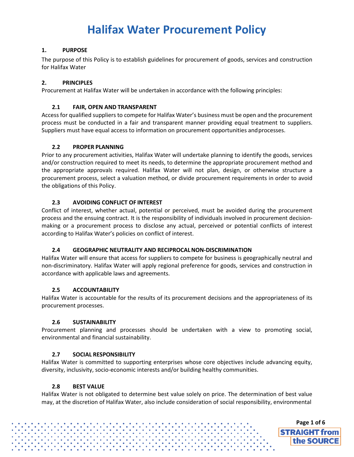#### <span id="page-3-0"></span>**1. PURPOSE**

The purpose of this Policy is to establish guidelines for procurement of goods, services and construction for Halifax Water

#### <span id="page-3-1"></span>**2. PRINCIPLES**

Procurement at Halifax Water will be undertaken in accordance with the following principles:

#### **2.1 FAIR, OPEN AND TRANSPARENT**

<span id="page-3-2"></span>Access for qualified suppliers to compete for Halifax Water's business must be open and the procurement process must be conducted in a fair and transparent manner providing equal treatment to suppliers. Suppliers must have equal access to information on procurement opportunities andprocesses.

#### **2.2 PROPER PLANNING**

<span id="page-3-3"></span>Prior to any procurement activities, Halifax Water will undertake planning to identify the goods, services and/or construction required to meet its needs, to determine the appropriate procurement method and the appropriate approvals required. Halifax Water will not plan, design, or otherwise structure a procurement process, select a valuation method, or divide procurement requirements in order to avoid the obligations of this Policy.

#### **2.3 AVOIDING CONFLICT OF INTEREST**

<span id="page-3-4"></span>Conflict of interest, whether actual, potential or perceived, must be avoided during the procurement process and the ensuing contract. It is the responsibility of individuals involved in procurement decisionmaking or a procurement process to disclose any actual, perceived or potential conflicts of interest according to Halifax Water's policies on conflict of interest.

#### **2.4 GEOGRAPHIC NEUTRALITY AND RECIPROCALNON-DISCRIMINATION**

<span id="page-3-5"></span>Halifax Water will ensure that access for suppliers to compete for business is geographically neutral and non-discriminatory. Halifax Water will apply regional preference for goods, services and construction in accordance with applicable laws and agreements.

#### **2.5 ACCOUNTABILITY**

<span id="page-3-6"></span>Halifax Water is accountable for the results of its procurement decisions and the appropriateness of its procurement processes.

#### **2.6 SUSTAINABILITY**

<span id="page-3-7"></span>Procurement planning and processes should be undertaken with a view to promoting social, environmental and financial sustainability.

#### **2.7 SOCIAL RESPONSIBILITY**

<span id="page-3-8"></span>Halifax Water is committed to supporting enterprises whose core objectives include advancing equity, diversity, inclusivity, socio-economic interests and/or building healthy communities.

#### **2.8 BEST VALUE**

<span id="page-3-9"></span>Halifax Water is not obligated to determine best value solely on price. The determination of best value may, at the discretion of Halifax Water, also include consideration of social responsibility, environmental

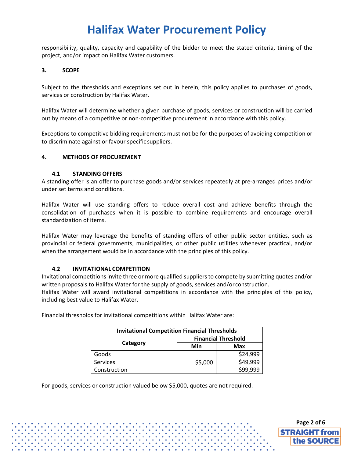responsibility, quality, capacity and capability of the bidder to meet the stated criteria, timing of the project, and/or impact on Halifax Water customers.

#### **3. SCOPE**

Subject to the thresholds and exceptions set out in herein, this policy applies to purchases of goods, services or construction by Halifax Water.

Halifax Water will determine whether a given purchase of goods, services or construction will be carried out by means of a competitive or non-competitive procurement in accordance with this policy.

Exceptions to competitive bidding requirements must not be for the purposes of avoiding competition or to discriminate against or favour specific suppliers.

#### <span id="page-4-0"></span>**4. METHODS OF PROCUREMENT**

#### **4.1 STANDING OFFERS**

<span id="page-4-1"></span>A standing offer is an offer to purchase goods and/or services repeatedly at pre-arranged prices and/or under set terms and conditions.

Halifax Water will use standing offers to reduce overall cost and achieve benefits through the consolidation of purchases when it is possible to combine requirements and encourage overall standardization of items.

Halifax Water may leverage the benefits of standing offers of other public sector entities, such as provincial or federal governments, municipalities, or other public utilities whenever practical, and/or when the arrangement would be in accordance with the principles of this policy.

#### **4.2 INVITATIONAL COMPETITION**

<span id="page-4-2"></span>Invitational competitionsinvite three or more qualified suppliersto compete by submitting quotes and/or written proposals to Halifax Water for the supply of goods, services and/orconstruction.

Halifax Water will award invitational competitions in accordance with the principles of this policy, including best value to Halifax Water.

| <b>Invitational Competition Financial Thresholds</b> |                            |          |  |  |
|------------------------------------------------------|----------------------------|----------|--|--|
|                                                      | <b>Financial Threshold</b> |          |  |  |
| Category                                             | Min                        | Max      |  |  |
| Goods                                                |                            | \$24,999 |  |  |
| <b>Services</b>                                      | \$5,000                    | \$49,999 |  |  |
| Construction                                         |                            | \$99,999 |  |  |

Financial thresholds for invitational competitions within Halifax Water are:

<span id="page-4-3"></span>For goods, services or construction valued below \$5,000, quotes are not required.

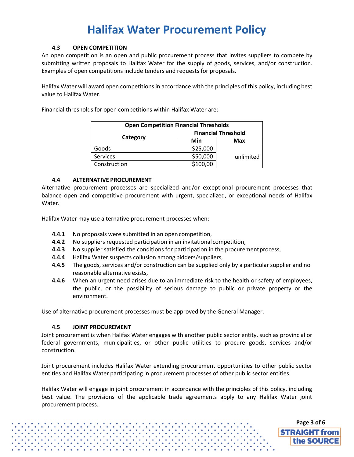#### **4.3 OPEN COMPETITION**

<span id="page-5-8"></span>An open competition is an open and public procurement process that invites suppliers to compete by submitting written proposals to Halifax Water for the supply of goods, services, and/or construction. Examples of open competitions include tenders and requests for proposals.

Halifax Water will award open competitions in accordance with the principles of this policy, including best value to Halifax Water.

Financial thresholds for open competitions within Halifax Water are:

| <b>Open Competition Financial Thresholds</b> |                            |            |  |  |
|----------------------------------------------|----------------------------|------------|--|--|
|                                              | <b>Financial Threshold</b> |            |  |  |
| Category                                     | Min                        | <b>Max</b> |  |  |
| Goods                                        | \$25,000                   |            |  |  |
| Services                                     | \$50,000                   | unlimited  |  |  |
| Construction                                 | \$100,00                   |            |  |  |

#### **4.4 ALTERNATIVE PROCUREMENT**

<span id="page-5-0"></span>Alternative procurement processes are specialized and/or exceptional procurement processes that balance open and competitive procurement with urgent, specialized, or exceptional needs of Halifax Water.

<span id="page-5-3"></span><span id="page-5-2"></span><span id="page-5-1"></span>Halifax Water may use alternative procurement processes when:

- **4.4.1** No proposals were submitted in an open competition,
- **4.4.2** No suppliers requested participation in an invitational competition,
- **4.4.3** No supplier satisfied the conditions for participation in the procurement process,
- <span id="page-5-4"></span>**4.4.4** Halifax Water suspects collusion among bidders/suppliers,
- <span id="page-5-5"></span>**4.4.5** The goods, services and/or construction can be supplied only by a particular supplier and no reasonable alternative exists,
- <span id="page-5-6"></span>**4.4.6** When an urgent need arises due to an immediate risk to the health or safety of employees, the public, or the possibility of serious damage to public or private property or the environment.

Use of alternative procurement processes must be approved by the General Manager.

#### **4.5 JOINT PROCUREMENT**

<span id="page-5-7"></span>Joint procurement is when Halifax Water engages with another public sector entity, such as provincial or federal governments, municipalities, or other public utilities to procure goods, services and/or construction.

Joint procurement includes Halifax Water extending procurement opportunities to other public sector entities and Halifax Water participating in procurement processes of other public sector entities.

Halifax Water will engage in joint procurement in accordance with the principles of this policy, including best value. The provisions of the applicable trade agreements apply to any Halifax Water joint procurement process.

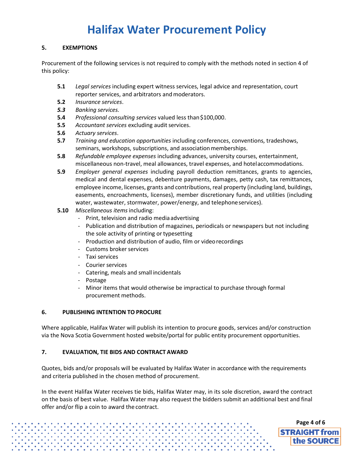#### **5. EXEMPTIONS**

<span id="page-6-0"></span>Procurement of the following services is not required to comply with the methods noted in section 4 of this policy:

- <span id="page-6-1"></span>**5.1** *Legal services* including expert witness services, legal advice and representation, court reporter services, and arbitrators and moderators.
- **5.2** *Insurance services*.
- <span id="page-6-2"></span>*5.3 Banking services.*
- **5.4** *Professional consulting services* valued less than\$100,000.
- <span id="page-6-3"></span>**5.5** Accountant services excluding audit services.
- <span id="page-6-4"></span>**5.6** *Actuary services*.
- <span id="page-6-6"></span><span id="page-6-5"></span>**5.7** *Training and education opportunities* including conferences, conventions, tradeshows, seminars, workshops, subscriptions, and association memberships.
- <span id="page-6-7"></span>**5.8** *Refundable employee expenses* including advances, university courses, entertainment, miscellaneous non-travel, meal allowances, travel expenses, and hotelaccommodations.
- **5.9** *Employer general expenses* including payroll deduction remittances, grants to agencies, medical and dental expenses, debenture payments, damages, petty cash, tax remittances, employee income, licenses, grants and contributions, real property (including land, buildings, easements, encroachments, licenses), member discretionary funds, and utilities (including water, wastewater, stormwater, power/energy, and telephoneservices).
- **5.10** *Miscellaneous items*including:
	- Print, television and radio media advertising
	- Publication and distribution of magazines, periodicals or newspapers but not including the sole activity of printing or typesetting
	- Production and distribution of audio, film or videorecordings
	- Customs broker services
	- Taxi services
	- Courier services
	- Catering, meals and small incidentals
	- Postage
	- Minor items that would otherwise be impractical to purchase through formal procurement methods.

#### <span id="page-6-9"></span>**6. PUBLISHING INTENTION TO PROCURE**

Where applicable, Halifax Water will publish its intention to procure goods, services and/or construction via the Nova Scotia Government hosted website/portal for public entity procurement opportunities.

#### <span id="page-6-10"></span>**7. EVALUATION, TIE BIDS AND CONTRACT AWARD**

Quotes, bids and/or proposals will be evaluated by Halifax Water in accordance with the requirements and criteria published in the chosen method of procurement.

In the event Halifax Water receives tie bids, Halifax Water may, in its sole discretion, award the contract on the basis of best value. Halifax Water may also request the bidders submit an additional best and final offer and/or flip a coin to award the contract.

<span id="page-6-8"></span>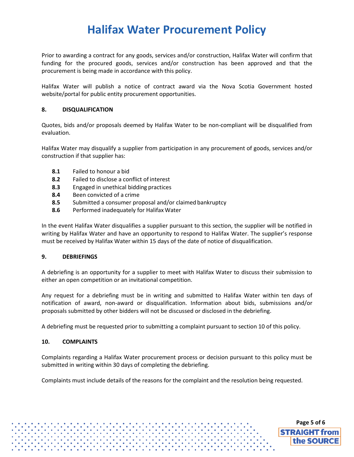Prior to awarding a contract for any goods, services and/or construction, Halifax Water will confirm that funding for the procured goods, services and/or construction has been approved and that the procurement is being made in accordance with this policy.

Halifax Water will publish a notice of contract award via the Nova Scotia Government hosted website/portal for public entity procurement opportunities.

#### <span id="page-7-0"></span>**8. DISQUALIFICATION**

Quotes, bids and/or proposals deemed by Halifax Water to be non-compliant will be disqualified from evaluation.

<span id="page-7-2"></span><span id="page-7-1"></span>Halifax Water may disqualify a supplier from participation in any procurement of goods, services and/or construction if that supplier has:

- **8.1** Failed to honour a bid
- **8.2** Failed to disclose a conflict of interest
- <span id="page-7-3"></span>**8.3** Engaged in unethical bidding practices
- <span id="page-7-4"></span>**8.4** Been convicted of a crime
- **8.5** Submitted a consumer proposal and/or claimed bankruptcy
- **8.6** Performed inadequately for Halifax Water

<span id="page-7-5"></span>In the event Halifax Water disqualifies a supplier pursuant to this section, the supplier will be notified in writing by Halifax Water and have an opportunity to respond to Halifax Water. The supplier's response must be received by Halifax Water within 15 days of the date of notice of disqualification.

#### <span id="page-7-6"></span>**9. DEBRIEFINGS**

A debriefing is an opportunity for a supplier to meet with Halifax Water to discuss their submission to either an open competition or an invitational competition.

Any request for a debriefing must be in writing and submitted to Halifax Water within ten days of notification of award, non-award or disqualification. Information about bids, submissions and/or proposals submitted by other bidders will not be discussed or disclosed in the debriefing.

A debriefing must be requested prior to submitting a complaint pursuant to section 10 of this policy.

#### <span id="page-7-7"></span>**10. COMPLAINTS**

Complaints regarding a Halifax Water procurement process or decision pursuant to this policy must be submitted in writing within 30 days of completing the debriefing.

**[Page 5](#page-1-0) of 6**

**STRAIGHT from** the SOURCE

Complaints must include details of the reasons for the complaint and the resolution being requested.